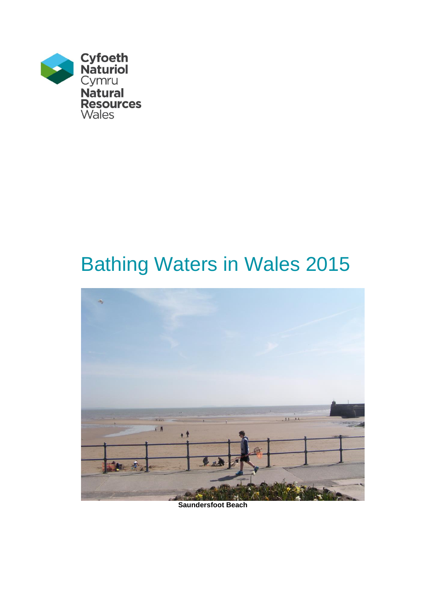

# Bathing Waters in Wales 2015



**Saundersfoot Beach**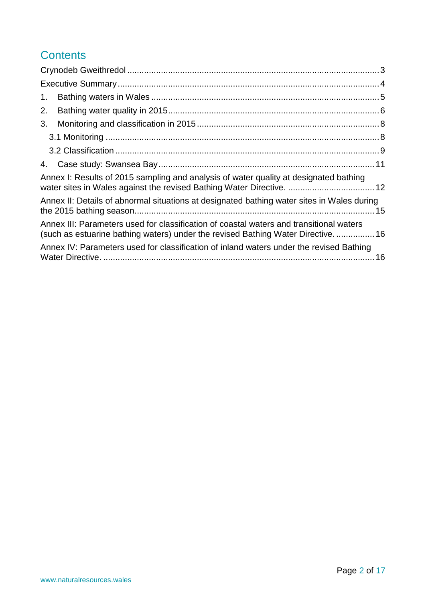# **Contents**

| 1. |                                                                                                                                                                            |  |
|----|----------------------------------------------------------------------------------------------------------------------------------------------------------------------------|--|
| 2. |                                                                                                                                                                            |  |
| 3. |                                                                                                                                                                            |  |
|    |                                                                                                                                                                            |  |
|    |                                                                                                                                                                            |  |
|    |                                                                                                                                                                            |  |
|    | Annex I: Results of 2015 sampling and analysis of water quality at designated bathing                                                                                      |  |
|    | Annex II: Details of abnormal situations at designated bathing water sites in Wales during                                                                                 |  |
|    | Annex III: Parameters used for classification of coastal waters and transitional waters<br>(such as estuarine bathing waters) under the revised Bathing Water Directive 16 |  |
|    | Annex IV: Parameters used for classification of inland waters under the revised Bathing                                                                                    |  |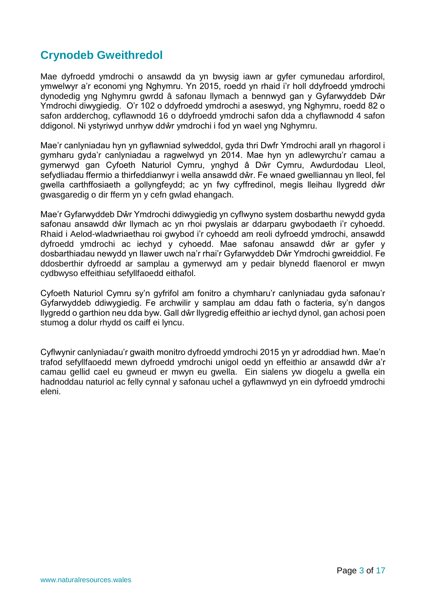# <span id="page-2-0"></span>**Crynodeb Gweithredol**

Mae dyfroedd ymdrochi o ansawdd da yn bwysig iawn ar gyfer cymunedau arfordirol, ymwelwyr a'r economi yng Nghymru. Yn 2015, roedd yn rhaid i'r holl ddyfroedd ymdrochi dynodedig yng Nghymru gwrdd â safonau llymach a bennwyd gan y Gyfarwyddeb Dŵr Ymdrochi diwygiedig. O'r 102 o ddyfroedd ymdrochi a aseswyd, yng Nghymru, roedd 82 o safon ardderchog, cyflawnodd 16 o ddyfroedd ymdrochi safon dda a chyflawnodd 4 safon ddigonol. Ni ystyriwyd unrhyw ddŵr ymdrochi i fod yn wael yng Nghymru.

Mae'r canlyniadau hyn yn gyflawniad sylweddol, gyda thri Dwfr Ymdrochi arall yn rhagorol i gymharu gyda'r canlyniadau a ragwelwyd yn 2014. Mae hyn yn adlewyrchu'r camau a gymerwyd gan Cyfoeth Naturiol Cymru, ynghyd â Dŵr Cymru, Awdurdodau Lleol, sefydliadau ffermio a thirfeddianwyr i wella ansawdd dŵr. Fe wnaed gwelliannau yn lleol, fel gwella carthffosiaeth a gollyngfeydd; ac yn fwy cyffredinol, megis lleihau llygredd dŵr gwasgaredig o dir fferm yn y cefn gwlad ehangach.

Mae'r Gyfarwyddeb Dŵr Ymdrochi ddiwygiedig yn cyflwyno system dosbarthu newydd gyda safonau ansawdd dŵr llymach ac yn rhoi pwyslais ar ddarparu gwybodaeth i'r cyhoedd. Rhaid i Aelod-wladwriaethau roi gwybod i'r cyhoedd am reoli dyfroedd ymdrochi, ansawdd dyfroedd ymdrochi ac iechyd y cyhoedd. Mae safonau ansawdd dŵr ar gyfer y dosbarthiadau newydd yn llawer uwch na'r rhai'r Gyfarwyddeb Dŵr Ymdrochi gwreiddiol. Fe ddosberthir dyfroedd ar samplau a gymerwyd am y pedair blynedd flaenorol er mwyn cydbwyso effeithiau sefyllfaoedd eithafol.

Cyfoeth Naturiol Cymru sy'n gyfrifol am fonitro a chymharu'r canlyniadau gyda safonau'r Gyfarwyddeb ddiwygiedig. Fe archwilir y samplau am ddau fath o facteria, sy'n dangos llygredd o garthion neu dda byw. Gall dŵr llygredig effeithio ar iechyd dynol, gan achosi poen stumog a dolur rhydd os caiff ei lyncu.

Cyflwynir canlyniadau'r gwaith monitro dyfroedd ymdrochi 2015 yn yr adroddiad hwn. Mae'n trafod sefyllfaoedd mewn dyfroedd ymdrochi unigol oedd yn effeithio ar ansawdd dŵr a'r camau gellid cael eu gwneud er mwyn eu gwella. Ein sialens yw diogelu a gwella ein hadnoddau naturiol ac felly cynnal y safonau uchel a gyflawnwyd yn ein dyfroedd ymdrochi eleni.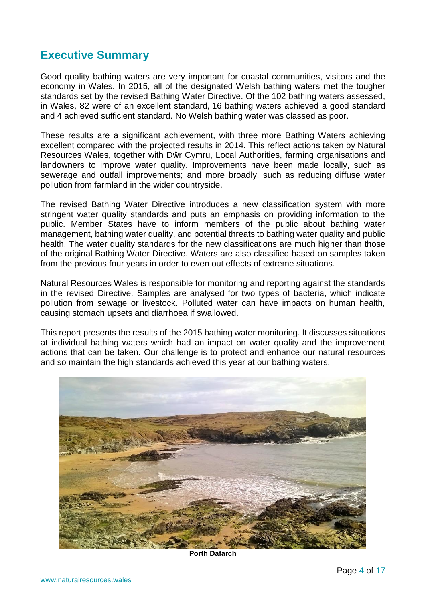## <span id="page-3-0"></span>**Executive Summary**

Good quality bathing waters are very important for coastal communities, visitors and the economy in Wales. In 2015, all of the designated Welsh bathing waters met the tougher standards set by the revised Bathing Water Directive. Of the 102 bathing waters assessed, in Wales, 82 were of an excellent standard, 16 bathing waters achieved a good standard and 4 achieved sufficient standard. No Welsh bathing water was classed as poor.

These results are a significant achievement, with three more Bathing Waters achieving excellent compared with the projected results in 2014. This reflect actions taken by Natural Resources Wales, together with Dŵr Cymru, Local Authorities, farming organisations and landowners to improve water quality. Improvements have been made locally, such as sewerage and outfall improvements; and more broadly, such as reducing diffuse water pollution from farmland in the wider countryside.

The revised Bathing Water Directive introduces a new classification system with more stringent water quality standards and puts an emphasis on providing information to the public. Member States have to inform members of the public about bathing water management, bathing water quality, and potential threats to bathing water quality and public health. The water quality standards for the new classifications are much higher than those of the original Bathing Water Directive. Waters are also classified based on samples taken from the previous four years in order to even out effects of extreme situations.

Natural Resources Wales is responsible for monitoring and reporting against the standards in the revised Directive. Samples are analysed for two types of bacteria, which indicate pollution from sewage or livestock. Polluted water can have impacts on human health, causing stomach upsets and diarrhoea if swallowed.

This report presents the results of the 2015 bathing water monitoring. It discusses situations at individual bathing waters which had an impact on water quality and the improvement actions that can be taken. Our challenge is to protect and enhance our natural resources and so maintain the high standards achieved this year at our bathing waters.



**Porth Dafarch**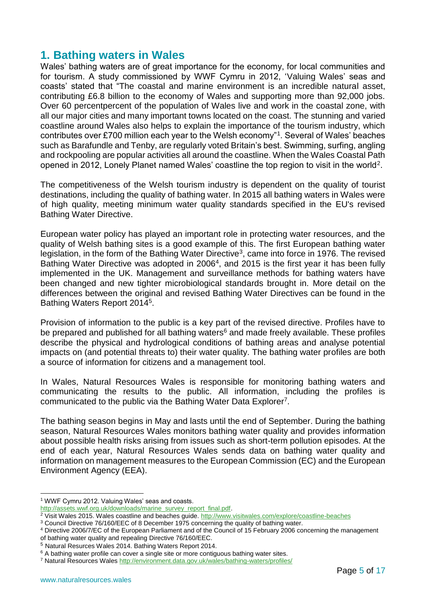## <span id="page-4-0"></span>**1. Bathing waters in Wales**

Wales' bathing waters are of great importance for the economy, for local communities and for tourism. A study commissioned by WWF Cymru in 2012, 'Valuing Wales' seas and coasts' stated that "The coastal and marine environment is an incredible natural asset, contributing £6.8 billion to the economy of Wales and supporting more than 92,000 jobs. Over 60 percentpercent of the population of Wales live and work in the coastal zone, with all our major cities and many important towns located on the coast. The stunning and varied coastline around Wales also helps to explain the importance of the tourism industry, which contributes over £700 million each year to the Welsh economy"<sup>1</sup> . Several of Wales' beaches such as Barafundle and Tenby, are regularly voted Britain's best. Swimming, surfing, angling and rockpooling are popular activities all around the coastline. When the Wales Coastal Path opened in 2012, Lonely Planet named Wales' coastline the top region to visit in the world<sup>2</sup>.

The competitiveness of the Welsh tourism industry is dependent on the quality of tourist destinations, including the quality of bathing water. In 2015 all bathing waters in Wales were of high quality, meeting minimum water quality standards specified in the EU's revised Bathing Water Directive.

European water policy has played an important role in protecting water resources, and the quality of Welsh bathing sites is a good example of this. The first European bathing water legislation, in the form of the Bathing Water Directive<sup>3</sup>, came into force in 1976. The revised Bathing Water Directive was adopted in 2006<sup>4</sup>, and 2015 is the first year it has been fully implemented in the UK. Management and surveillance methods for bathing waters have been changed and new tighter microbiological standards brought in. More detail on the differences between the original and revised Bathing Water Directives can be found in the Bathing Waters Report 2014<sup>5</sup> .

Provision of information to the public is a key part of the revised directive. Profiles have to be prepared and published for all bathing waters<sup>6</sup> and made freely available. These profiles describe the physical and hydrological conditions of bathing areas and analyse potential impacts on (and potential threats to) their water quality. The bathing water profiles are both a source of information for citizens and a management tool.

In Wales, Natural Resources Wales is responsible for monitoring bathing waters and communicating the results to the public. All information, including the profiles is communicated to the public via the Bathing Water Data Explorer<sup>7</sup>.

The bathing season begins in May and lasts until the end of September. During the bathing season, Natural Resources Wales monitors bathing water quality and provides information about possible health risks arising from issues such as short-term pollution episodes. At the end of each year, Natural Resources Wales sends data on bathing water quality and information on management measures to the European Commission (EC) and the European Environment Agency (EEA).

<sup>&</sup>lt;u>.</u> <sup>1</sup> WWF Cymru 2012. Valuing Wales' seas and coasts.

[http://assets.wwf.org.uk/downloads/marine\\_survey\\_report\\_final.pdf.](http://assets.wwf.org.uk/downloads/marine_survey_report_final.pdf)

<sup>&</sup>lt;sup>2</sup> Visit Wales 2015. Wales coastline and beaches guide.<http://www.visitwales.com/explore/coastline-beaches>

<sup>3</sup> Council Directive 76/160/EEC of 8 December 1975 concerning the quality of bathing water.

<sup>4</sup> Directive 2006/7/EC of the European Parliament and of the Council of 15 February 2006 concerning the management of bathing water quality and repealing Directive 76/160/EEC.

<sup>5</sup> Natural Resurces Wales 2014. Bathing Waters Report 2014.

<sup>&</sup>lt;sup>6</sup> A bathing water profile can cover a single site or more contiguous bathing water sites.

<sup>7</sup> Natural Resources Wales<http://environment.data.gov.uk/wales/bathing-waters/profiles/>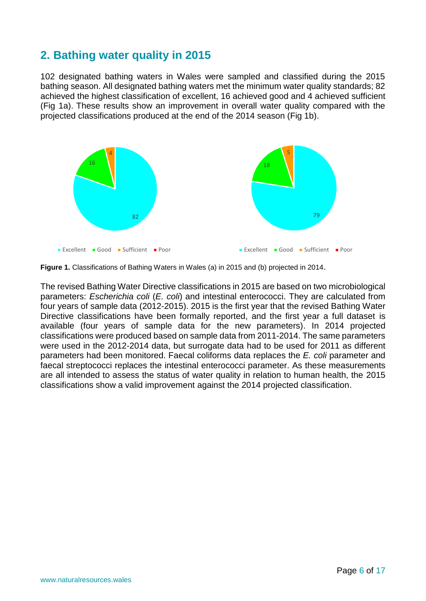# <span id="page-5-0"></span>**2. Bathing water quality in 2015**

102 designated bathing waters in Wales were sampled and classified during the 2015 bathing season. All designated bathing waters met the minimum water quality standards; 82 achieved the highest classification of excellent, 16 achieved good and 4 achieved sufficient (Fig 1a). These results show an improvement in overall water quality compared with the projected classifications produced at the end of the 2014 season (Fig 1b).



**Figure 1.** Classifications of Bathing Waters in Wales (a) in 2015 and (b) projected in 2014.

The revised Bathing Water Directive classifications in 2015 are based on two microbiological parameters: *Escherichia coli* (*E. coli*) and intestinal enterococci. They are calculated from four years of sample data (2012-2015). 2015 is the first year that the revised Bathing Water Directive classifications have been formally reported, and the first year a full dataset is available (four years of sample data for the new parameters). In 2014 projected classifications were produced based on sample data from 2011-2014. The same parameters were used in the 2012-2014 data, but surrogate data had to be used for 2011 as different parameters had been monitored. Faecal coliforms data replaces the *E. coli* parameter and faecal streptococci replaces the intestinal enterococci parameter. As these measurements are all intended to assess the status of water quality in relation to human health, the 2015 classifications show a valid improvement against the 2014 projected classification.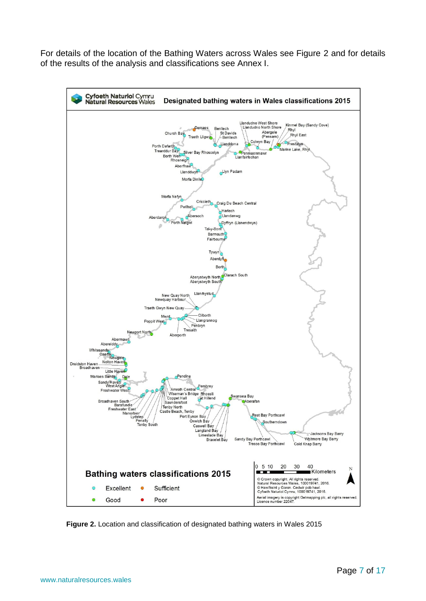For details of the location of the Bathing Waters across Wales see Figure 2 and for details of the results of the analysis and classifications see Annex I.



**Figure 2.** Location and classification of designated bathing waters in Wales 2015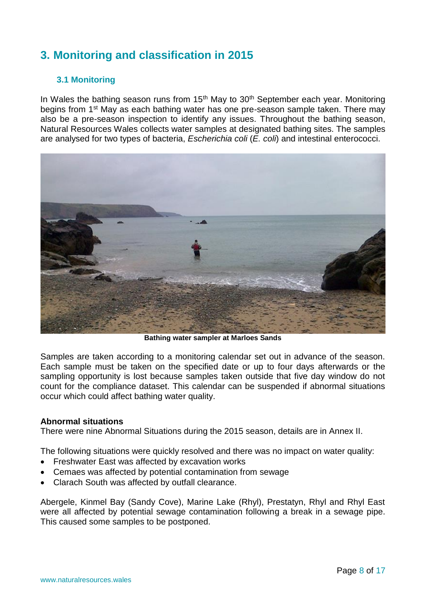# <span id="page-7-0"></span>**3. Monitoring and classification in 2015**

### <span id="page-7-1"></span>**3.1 Monitoring**

In Wales the bathing season runs from  $15<sup>th</sup>$  May to  $30<sup>th</sup>$  September each year. Monitoring begins from 1<sup>st</sup> May as each bathing water has one pre-season sample taken. There may also be a pre-season inspection to identify any issues. Throughout the bathing season, Natural Resources Wales collects water samples at designated bathing sites. The samples are analysed for two types of bacteria, *Escherichia coli* (*E. coli*) and intestinal enterococci.



**Bathing water sampler at Marloes Sands**

Samples are taken according to a monitoring calendar set out in advance of the season. Each sample must be taken on the specified date or up to four days afterwards or the sampling opportunity is lost because samples taken outside that five day window do not count for the compliance dataset. This calendar can be suspended if abnormal situations occur which could affect bathing water quality.

#### **Abnormal situations**

There were nine Abnormal Situations during the 2015 season, details are in Annex II.

The following situations were quickly resolved and there was no impact on water quality:

- Freshwater East was affected by excavation works
- Cemaes was affected by potential contamination from sewage
- Clarach South was affected by outfall clearance.

Abergele, Kinmel Bay (Sandy Cove), Marine Lake (Rhyl), Prestatyn, Rhyl and Rhyl East were all affected by potential sewage contamination following a break in a sewage pipe. This caused some samples to be postponed.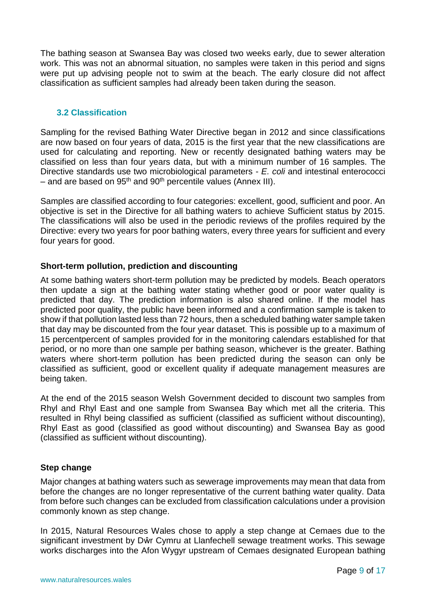The bathing season at Swansea Bay was closed two weeks early, due to sewer alteration work. This was not an abnormal situation, no samples were taken in this period and signs were put up advising people not to swim at the beach. The early closure did not affect classification as sufficient samples had already been taken during the season.

## <span id="page-8-0"></span>**3.2 Classification**

Sampling for the revised Bathing Water Directive began in 2012 and since classifications are now based on four years of data, 2015 is the first year that the new classifications are used for calculating and reporting. New or recently designated bathing waters may be classified on less than four years data, but with a minimum number of 16 samples. The Directive standards use two microbiological parameters - *E. coli* and intestinal enterococci – and are based on  $95<sup>th</sup>$  and  $90<sup>th</sup>$  percentile values (Annex III).

Samples are classified according to four categories: excellent, good, sufficient and poor. An objective is set in the Directive for all bathing waters to achieve Sufficient status by 2015. The classifications will also be used in the periodic reviews of the profiles required by the Directive: every two years for poor bathing waters, every three years for sufficient and every four years for good.

## **Short-term pollution, prediction and discounting**

At some bathing waters short-term pollution may be predicted by models. Beach operators then update a sign at the bathing water stating whether good or poor water quality is predicted that day. The prediction information is also shared online. If the model has predicted poor quality, the public have been informed and a confirmation sample is taken to show if that pollution lasted less than 72 hours, then a scheduled bathing water sample taken that day may be discounted from the four year dataset. This is possible up to a maximum of 15 percentpercent of samples provided for in the monitoring calendars established for that period, or no more than one sample per bathing season, whichever is the greater. Bathing waters where short-term pollution has been predicted during the season can only be classified as sufficient, good or excellent quality if adequate management measures are being taken.

At the end of the 2015 season Welsh Government decided to discount two samples from Rhyl and Rhyl East and one sample from Swansea Bay which met all the criteria. This resulted in Rhyl being classified as sufficient (classified as sufficient without discounting), Rhyl East as good (classified as good without discounting) and Swansea Bay as good (classified as sufficient without discounting).

#### **Step change**

Major changes at bathing waters such as sewerage improvements may mean that data from before the changes are no longer representative of the current bathing water quality. Data from before such changes can be excluded from classification calculations under a provision commonly known as step change.

In 2015, Natural Resources Wales chose to apply a step change at Cemaes due to the significant investment by Dŵr Cymru at Llanfechell sewage treatment works. This sewage works discharges into the Afon Wygyr upstream of Cemaes designated European bathing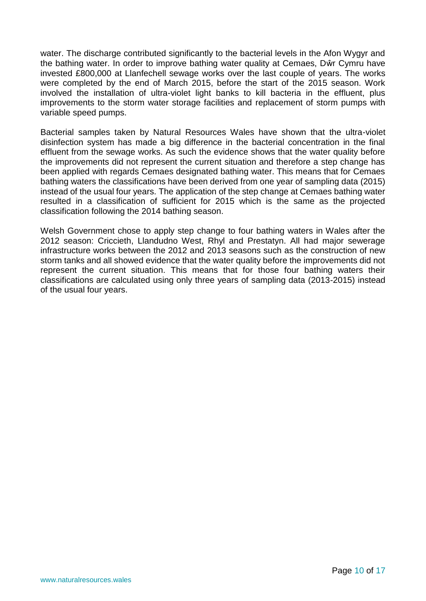water. The discharge contributed significantly to the bacterial levels in the Afon Wygyr and the bathing water. In order to improve bathing water quality at Cemaes, Dŵr Cymru have invested £800,000 at Llanfechell sewage works over the last couple of years. The works were completed by the end of March 2015, before the start of the 2015 season. Work involved the installation of ultra-violet light banks to kill bacteria in the effluent, plus improvements to the storm water storage facilities and replacement of storm pumps with variable speed pumps.

Bacterial samples taken by Natural Resources Wales have shown that the ultra-violet disinfection system has made a big difference in the bacterial concentration in the final effluent from the sewage works. As such the evidence shows that the water quality before the improvements did not represent the current situation and therefore a step change has been applied with regards Cemaes designated bathing water. This means that for Cemaes bathing waters the classifications have been derived from one year of sampling data (2015) instead of the usual four years. The application of the step change at Cemaes bathing water resulted in a classification of sufficient for 2015 which is the same as the projected classification following the 2014 bathing season.

Welsh Government chose to apply step change to four bathing waters in Wales after the 2012 season: Criccieth, Llandudno West, Rhyl and Prestatyn. All had major sewerage infrastructure works between the 2012 and 2013 seasons such as the construction of new storm tanks and all showed evidence that the water quality before the improvements did not represent the current situation. This means that for those four bathing waters their classifications are calculated using only three years of sampling data (2013-2015) instead of the usual four years.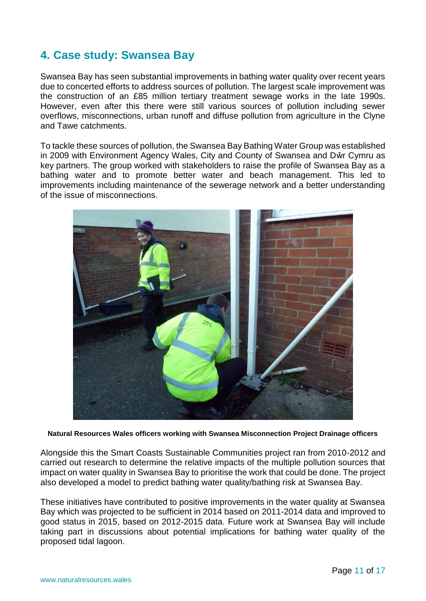# <span id="page-10-0"></span>**4. Case study: Swansea Bay**

Swansea Bay has seen substantial improvements in bathing water quality over recent years due to concerted efforts to address sources of pollution. The largest scale improvement was the construction of an £85 million tertiary treatment sewage works in the late 1990s. However, even after this there were still various sources of pollution including sewer overflows, misconnections, urban runoff and diffuse pollution from agriculture in the Clyne and Tawe catchments.

To tackle these sources of pollution, the Swansea Bay Bathing Water Group was established in 2009 with Environment Agency Wales, City and County of Swansea and Dŵr Cymru as key partners. The group worked with stakeholders to raise the profile of Swansea Bay as a bathing water and to promote better water and beach management. This led to improvements including maintenance of the sewerage network and a better understanding of the issue of misconnections.



**Natural Resources Wales officers working with Swansea Misconnection Project Drainage officers**

Alongside this the Smart Coasts Sustainable Communities project ran from 2010-2012 and carried out research to determine the relative impacts of the multiple pollution sources that impact on water quality in Swansea Bay to prioritise the work that could be done. The project also developed a model to predict bathing water quality/bathing risk at Swansea Bay.

These initiatives have contributed to positive improvements in the water quality at Swansea Bay which was projected to be sufficient in 2014 based on 2011-2014 data and improved to good status in 2015, based on 2012-2015 data. Future work at Swansea Bay will include taking part in discussions about potential implications for bathing water quality of the proposed tidal lagoon.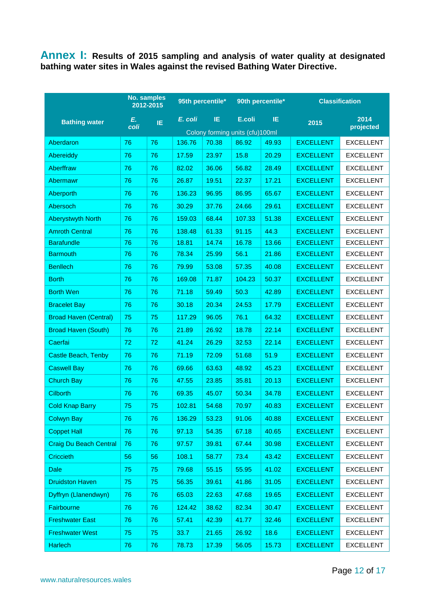<span id="page-11-0"></span>**Annex I: Results of 2015 sampling and analysis of water quality at designated bathing water sites in Wales against the revised Bathing Water Directive.**

|                               | <b>No. samples</b><br>2012-2015 |     | 95th percentile* |       | 90th percentile*                |       | <b>Classification</b> |                   |
|-------------------------------|---------------------------------|-----|------------------|-------|---------------------------------|-------|-----------------------|-------------------|
| <b>Bathing water</b>          | Е.<br>coli                      | IE. | E. coli          | IE    | E.coli                          | IE    | 2015                  | 2014<br>projected |
|                               |                                 |     |                  |       | Colony forming units (cfu)100ml |       |                       |                   |
| Aberdaron                     | 76                              | 76  | 136.76           | 70.38 | 86.92                           | 49.93 | <b>EXCELLENT</b>      | <b>EXCELLENT</b>  |
| <b>Abereiddy</b>              | 76                              | 76  | 17.59            | 23.97 | 15.8                            | 20.29 | <b>EXCELLENT</b>      | <b>EXCELLENT</b>  |
| Aberffraw                     | 76                              | 76  | 82.02            | 36.06 | 56.82                           | 28.49 | <b>EXCELLENT</b>      | <b>EXCELLENT</b>  |
| Abermawr                      | 76                              | 76  | 26.87            | 19.51 | 22.37                           | 17.21 | <b>EXCELLENT</b>      | <b>EXCELLENT</b>  |
| Aberporth                     | 76                              | 76  | 136.23           | 96.95 | 86.95                           | 65.67 | <b>EXCELLENT</b>      | <b>EXCELLENT</b>  |
| Abersoch                      | 76                              | 76  | 30.29            | 37.76 | 24.66                           | 29.61 | <b>EXCELLENT</b>      | <b>EXCELLENT</b>  |
| <b>Aberystwyth North</b>      | 76                              | 76  | 159.03           | 68.44 | 107.33                          | 51.38 | <b>EXCELLENT</b>      | <b>EXCELLENT</b>  |
| <b>Amroth Central</b>         | 76                              | 76  | 138.48           | 61.33 | 91.15                           | 44.3  | <b>EXCELLENT</b>      | <b>EXCELLENT</b>  |
| <b>Barafundle</b>             | 76                              | 76  | 18.81            | 14.74 | 16.78                           | 13.66 | <b>EXCELLENT</b>      | <b>EXCELLENT</b>  |
| <b>Barmouth</b>               | 76                              | 76  | 78.34            | 25.99 | 56.1                            | 21.86 | <b>EXCELLENT</b>      | <b>EXCELLENT</b>  |
| <b>Benllech</b>               | 76                              | 76  | 79.99            | 53.08 | 57.35                           | 40.08 | <b>EXCELLENT</b>      | <b>EXCELLENT</b>  |
| <b>Borth</b>                  | 76                              | 76  | 169.08           | 71.87 | 104.23                          | 50.37 | <b>EXCELLENT</b>      | <b>EXCELLENT</b>  |
| <b>Borth Wen</b>              | 76                              | 76  | 71.18            | 59.49 | 50.3                            | 42.89 | <b>EXCELLENT</b>      | <b>EXCELLENT</b>  |
| <b>Bracelet Bay</b>           | 76                              | 76  | 30.18            | 20.34 | 24.53                           | 17.79 | <b>EXCELLENT</b>      | <b>EXCELLENT</b>  |
| <b>Broad Haven (Central)</b>  | 75                              | 75  | 117.29           | 96.05 | 76.1                            | 64.32 | <b>EXCELLENT</b>      | <b>EXCELLENT</b>  |
| <b>Broad Haven (South)</b>    | 76                              | 76  | 21.89            | 26.92 | 18.78                           | 22.14 | <b>EXCELLENT</b>      | <b>EXCELLENT</b>  |
| Caerfai                       | 72                              | 72  | 41.24            | 26.29 | 32.53                           | 22.14 | <b>EXCELLENT</b>      | <b>EXCELLENT</b>  |
| Castle Beach, Tenby           | 76                              | 76  | 71.19            | 72.09 | 51.68                           | 51.9  | <b>EXCELLENT</b>      | <b>EXCELLENT</b>  |
| <b>Caswell Bay</b>            | 76                              | 76  | 69.66            | 63.63 | 48.92                           | 45.23 | <b>EXCELLENT</b>      | <b>EXCELLENT</b>  |
| <b>Church Bay</b>             | 76                              | 76  | 47.55            | 23.85 | 35.81                           | 20.13 | <b>EXCELLENT</b>      | <b>EXCELLENT</b>  |
| <b>Cilborth</b>               | 76                              | 76  | 69.35            | 45.07 | 50.34                           | 34.78 | <b>EXCELLENT</b>      | <b>EXCELLENT</b>  |
| <b>Cold Knap Barry</b>        | 75                              | 75  | 102.81           | 54.68 | 70.97                           | 40.83 | <b>EXCELLENT</b>      | <b>EXCELLENT</b>  |
| <b>Colwyn Bay</b>             | 76                              | 76  | 136.29           | 53.23 | 91.06                           | 40.88 | <b>EXCELLENT</b>      | <b>EXCELLENT</b>  |
| <b>Coppet Hall</b>            | 76                              | 76  | 97.13            | 54.35 | 67.18                           | 40.65 | <b>EXCELLENT</b>      | <b>EXCELLENT</b>  |
| <b>Craig Du Beach Central</b> | 76                              | 76  | 97.57            | 39.81 | 67.44                           | 30.98 | <b>EXCELLENT</b>      | <b>EXCELLENT</b>  |
| <b>Criccieth</b>              | 56                              | 56  | 108.1            | 58.77 | 73.4                            | 43.42 | <b>EXCELLENT</b>      | <b>EXCELLENT</b>  |
| <b>Dale</b>                   | 75                              | 75  | 79.68            | 55.15 | 55.95                           | 41.02 | <b>EXCELLENT</b>      | <b>EXCELLENT</b>  |
| <b>Druidston Haven</b>        | 75                              | 75  | 56.35            | 39.61 | 41.86                           | 31.05 | <b>EXCELLENT</b>      | <b>EXCELLENT</b>  |
| Dyffryn (Llanendwyn)          | 76                              | 76  | 65.03            | 22.63 | 47.68                           | 19.65 | <b>EXCELLENT</b>      | <b>EXCELLENT</b>  |
| Fairbourne                    | 76                              | 76  | 124.42           | 38.62 | 82.34                           | 30.47 | <b>EXCELLENT</b>      | <b>EXCELLENT</b>  |
| <b>Freshwater East</b>        | 76                              | 76  | 57.41            | 42.39 | 41.77                           | 32.46 | <b>EXCELLENT</b>      | <b>EXCELLENT</b>  |
| <b>Freshwater West</b>        | 75                              | 75  | 33.7             | 21.65 | 26.92                           | 18.6  | <b>EXCELLENT</b>      | <b>EXCELLENT</b>  |
| <b>Harlech</b>                | 76                              | 76  | 78.73            | 17.39 | 56.05                           | 15.73 | <b>EXCELLENT</b>      | <b>EXCELLENT</b>  |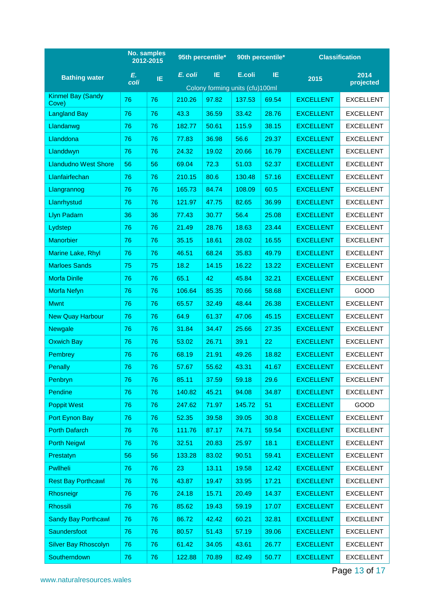|                                   |            | No. samples<br>95th percentile*<br>2012-2015 |         | 90th percentile*                |        | <b>Classification</b> |                  |                   |
|-----------------------------------|------------|----------------------------------------------|---------|---------------------------------|--------|-----------------------|------------------|-------------------|
| <b>Bathing water</b>              | Е.<br>coli | IE                                           | E. coli | IE                              | E.coli | IE.                   | 2015             | 2014<br>projected |
|                                   |            |                                              |         | Colony forming units (cfu)100ml |        |                       |                  |                   |
| <b>Kinmel Bay (Sandy</b><br>Cove) | 76         | 76                                           | 210.26  | 97.82                           | 137.53 | 69.54                 | <b>EXCELLENT</b> | <b>EXCELLENT</b>  |
| <b>Langland Bay</b>               | 76         | 76                                           | 43.3    | 36.59                           | 33.42  | 28.76                 | <b>EXCELLENT</b> | <b>EXCELLENT</b>  |
| Llandanwg                         | 76         | 76                                           | 182.77  | 50.61                           | 115.9  | 38.15                 | <b>EXCELLENT</b> | <b>EXCELLENT</b>  |
| Llanddona                         | 76         | 76                                           | 77.83   | 36.98                           | 56.6   | 29.37                 | <b>EXCELLENT</b> | <b>EXCELLENT</b>  |
| Llanddwyn                         | 76         | 76                                           | 24.32   | 19.02                           | 20.66  | 16.79                 | <b>EXCELLENT</b> | <b>EXCELLENT</b>  |
| <b>Llandudno West Shore</b>       | 56         | 56                                           | 69.04   | 72.3                            | 51.03  | 52.37                 | <b>EXCELLENT</b> | <b>EXCELLENT</b>  |
| Llanfairfechan                    | 76         | 76                                           | 210.15  | 80.6                            | 130.48 | 57.16                 | <b>EXCELLENT</b> | <b>EXCELLENT</b>  |
| Llangrannog                       | 76         | 76                                           | 165.73  | 84.74                           | 108.09 | 60.5                  | <b>EXCELLENT</b> | <b>EXCELLENT</b>  |
| Llanrhystud                       | 76         | 76                                           | 121.97  | 47.75                           | 82.65  | 36.99                 | <b>EXCELLENT</b> | <b>EXCELLENT</b>  |
| <b>Llyn Padarn</b>                | 36         | 36                                           | 77.43   | 30.77                           | 56.4   | 25.08                 | <b>EXCELLENT</b> | <b>EXCELLENT</b>  |
| Lydstep                           | 76         | 76                                           | 21.49   | 28.76                           | 18.63  | 23.44                 | <b>EXCELLENT</b> | <b>EXCELLENT</b>  |
| <b>Manorbier</b>                  | 76         | 76                                           | 35.15   | 18.61                           | 28.02  | 16.55                 | <b>EXCELLENT</b> | <b>EXCELLENT</b>  |
| Marine Lake, Rhyl                 | 76         | 76                                           | 46.51   | 68.24                           | 35.83  | 49.79                 | <b>EXCELLENT</b> | <b>EXCELLENT</b>  |
| <b>Marloes Sands</b>              | 75         | 75                                           | 18.2    | 14.15                           | 16.22  | 13.22                 | <b>EXCELLENT</b> | <b>EXCELLENT</b>  |
| <b>Morfa Dinlle</b>               | 76         | 76                                           | 65.1    | 42                              | 45.84  | 32.21                 | <b>EXCELLENT</b> | <b>EXCELLENT</b>  |
| <b>Morfa Nefyn</b>                | 76         | 76                                           | 106.64  | 85.35                           | 70.66  | 58.68                 | <b>EXCELLENT</b> | GOOD              |
| <b>Mwnt</b>                       | 76         | 76                                           | 65.57   | 32.49                           | 48.44  | 26.38                 | <b>EXCELLENT</b> | <b>EXCELLENT</b>  |
| <b>New Quay Harbour</b>           | 76         | 76                                           | 64.9    | 61.37                           | 47.06  | 45.15                 | <b>EXCELLENT</b> | <b>EXCELLENT</b>  |
| <b>Newgale</b>                    | 76         | 76                                           | 31.84   | 34.47                           | 25.66  | 27.35                 | <b>EXCELLENT</b> | <b>EXCELLENT</b>  |
| <b>Oxwich Bay</b>                 | 76         | 76                                           | 53.02   | 26.71                           | 39.1   | 22                    | <b>EXCELLENT</b> | <b>EXCELLENT</b>  |
| <b>Pembrey</b>                    | 76         | 76                                           | 68.19   | 21.91                           | 49.26  | 18.82                 | <b>EXCELLENT</b> | <b>EXCELLENT</b>  |
| <b>Penally</b>                    | 76         | 76                                           | 57.67   | 55.62                           | 43.31  | 41.67                 | <b>EXCELLENT</b> | EXCELLENT         |
| Penbryn                           | 76         | 76                                           | 85.11   | 37.59                           | 59.18  | 29.6                  | <b>EXCELLENT</b> | <b>EXCELLENT</b>  |
| Pendine                           | 76         | 76                                           | 140.82  | 45.21                           | 94.08  | 34.87                 | <b>EXCELLENT</b> | <b>EXCELLENT</b>  |
| <b>Poppit West</b>                | 76         | 76                                           | 247.62  | 71.97                           | 145.72 | 51                    | <b>EXCELLENT</b> | GOOD              |
| Port Eynon Bay                    | 76         | 76                                           | 52.35   | 39.58                           | 39.05  | 30.8                  | <b>EXCELLENT</b> | <b>EXCELLENT</b>  |
| <b>Porth Dafarch</b>              | 76         | 76                                           | 111.76  | 87.17                           | 74.71  | 59.54                 | <b>EXCELLENT</b> | <b>EXCELLENT</b>  |
| <b>Porth Neigwl</b>               | 76         | 76                                           | 32.51   | 20.83                           | 25.97  | 18.1                  | <b>EXCELLENT</b> | <b>EXCELLENT</b>  |
| Prestatyn                         | 56         | 56                                           | 133.28  | 83.02                           | 90.51  | 59.41                 | <b>EXCELLENT</b> | <b>EXCELLENT</b>  |
| Pwllheli                          | 76         | 76                                           | 23      | 13.11                           | 19.58  | 12.42                 | <b>EXCELLENT</b> | <b>EXCELLENT</b>  |
| <b>Rest Bay Porthcawl</b>         | 76         | 76                                           | 43.87   | 19.47                           | 33.95  | 17.21                 | <b>EXCELLENT</b> | <b>EXCELLENT</b>  |
| Rhosneigr                         | 76         | 76                                           | 24.18   | 15.71                           | 20.49  | 14.37                 | <b>EXCELLENT</b> | <b>EXCELLENT</b>  |
| <b>Rhossili</b>                   | 76         | 76                                           | 85.62   | 19.43                           | 59.19  | 17.07                 | <b>EXCELLENT</b> | <b>EXCELLENT</b>  |
| <b>Sandy Bay Porthcawl</b>        | 76         | 76                                           | 86.72   | 42.42                           | 60.21  | 32.81                 | <b>EXCELLENT</b> | <b>EXCELLENT</b>  |
| Saundersfoot                      | 76         | 76                                           | 80.57   | 51.43                           | 57.19  | 39.06                 | <b>EXCELLENT</b> | <b>EXCELLENT</b>  |
| <b>Silver Bay Rhoscolyn</b>       | 76         | 76                                           | 61.42   | 34.05                           | 43.61  | 26.77                 | <b>EXCELLENT</b> | <b>EXCELLENT</b>  |
| Southerndown                      | 76         | 76                                           | 122.88  | 70.89                           | 82.49  | 50.77                 | <b>EXCELLENT</b> | <b>EXCELLENT</b>  |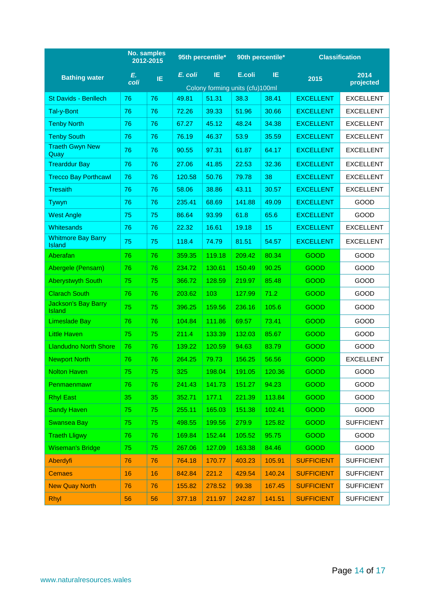|                                             | <b>No. samples</b><br>2012-2015 |     |         | 95th percentile*                |        | 90th percentile* | <b>Classification</b> |                   |
|---------------------------------------------|---------------------------------|-----|---------|---------------------------------|--------|------------------|-----------------------|-------------------|
| <b>Bathing water</b>                        | Е.                              | IE. | E. coli | IE.                             | E.coli | IE.              | 2015                  | 2014              |
|                                             | coli                            |     |         | Colony forming units (cfu)100ml |        |                  |                       | projected         |
| St Davids - Benllech                        | 76                              | 76  | 49.81   | 51.31                           | 38.3   | 38.41            | <b>EXCELLENT</b>      | <b>EXCELLENT</b>  |
| Tal-y-Bont                                  | 76                              | 76  | 72.26   | 39.33                           | 51.96  | 30.66            | <b>EXCELLENT</b>      | <b>EXCELLENT</b>  |
| <b>Tenby North</b>                          | 76                              | 76  | 67.27   | 45.12                           | 48.24  | 34.38            | <b>EXCELLENT</b>      | <b>EXCELLENT</b>  |
| <b>Tenby South</b>                          | 76                              | 76  | 76.19   | 46.37                           | 53.9   | 35.59            | <b>EXCELLENT</b>      | <b>EXCELLENT</b>  |
| <b>Traeth Gwyn New</b><br>Quay              | 76                              | 76  | 90.55   | 97.31                           | 61.87  | 64.17            | <b>EXCELLENT</b>      | <b>EXCELLENT</b>  |
| <b>Trearddur Bay</b>                        | 76                              | 76  | 27.06   | 41.85                           | 22.53  | 32.36            | <b>EXCELLENT</b>      | <b>EXCELLENT</b>  |
| <b>Trecco Bay Porthcawl</b>                 | 76                              | 76  | 120.58  | 50.76                           | 79.78  | 38               | <b>EXCELLENT</b>      | <b>EXCELLENT</b>  |
| Tresaith                                    | 76                              | 76  | 58.06   | 38.86                           | 43.11  | 30.57            | <b>EXCELLENT</b>      | <b>EXCELLENT</b>  |
| Tywyn                                       | 76                              | 76  | 235.41  | 68.69                           | 141.88 | 49.09            | <b>EXCELLENT</b>      | GOOD              |
| <b>West Angle</b>                           | 75                              | 75  | 86.64   | 93.99                           | 61.8   | 65.6             | <b>EXCELLENT</b>      | <b>GOOD</b>       |
| <b>Whitesands</b>                           | 76                              | 76  | 22.32   | 16.61                           | 19.18  | 15               | <b>EXCELLENT</b>      | <b>EXCELLENT</b>  |
| <b>Whitmore Bay Barry</b><br><b>Island</b>  | 75                              | 75  | 118.4   | 74.79                           | 81.51  | 54.57            | <b>EXCELLENT</b>      | <b>EXCELLENT</b>  |
| Aberafan                                    | 76                              | 76  | 359.35  | 119.18                          | 209.42 | 80.34            | <b>GOOD</b>           | <b>GOOD</b>       |
| Abergele (Pensarn)                          | 76                              | 76  | 234.72  | 130.61                          | 150.49 | 90.25            | <b>GOOD</b>           | GOOD              |
| <b>Aberystwyth South</b>                    | 75                              | 75  | 366.72  | 128.59                          | 219.97 | 85.48            | <b>GOOD</b>           | <b>GOOD</b>       |
| <b>Clarach South</b>                        | 76                              | 76  | 203.62  | 103                             | 127.99 | 71.2             | <b>GOOD</b>           | GOOD              |
| <b>Jackson's Bay Barry</b><br><b>Island</b> | 75                              | 75  | 396.25  | 159.56                          | 236.16 | 105.6            | <b>GOOD</b>           | <b>GOOD</b>       |
| Limeslade Bay                               | 76                              | 76  | 104.84  | 111.86                          | 69.57  | 73.41            | <b>GOOD</b>           | GOOD              |
| Little Haven                                | 75                              | 75  | 211.4   | 133.39                          | 132.03 | 85.67            | <b>GOOD</b>           | <b>GOOD</b>       |
| <b>Llandudno North Shore</b>                | 76                              | 76  | 139.22  | 120.59                          | 94.63  | 83.79            | <b>GOOD</b>           | GOOD              |
| <b>Newport North</b>                        | 76                              | 76  | 264.25  | 79.73                           | 156.25 | 56.56            | <b>GOOD</b>           | <b>EXCELLENT</b>  |
| <b>Nolton Haven</b>                         | 75                              | 75  | 325     | 198.04                          | 191.05 | 120.36           | <b>GOOD</b>           | GOOD              |
| Penmaenmawr                                 | 76                              | 76  | 241.43  | 141.73                          | 151.27 | 94.23            | <b>GOOD</b>           | GOOD              |
| <b>Rhyl East</b>                            | 35                              | 35  | 352.71  | 177.1                           | 221.39 | 113.84           | <b>GOOD</b>           | GOOD              |
| <b>Sandy Haven</b>                          | 75                              | 75  | 255.11  | 165.03                          | 151.38 | 102.41           | <b>GOOD</b>           | <b>GOOD</b>       |
| <b>Swansea Bay</b>                          | 75                              | 75  | 498.55  | 199.56                          | 279.9  | 125.82           | <b>GOOD</b>           | <b>SUFFICIENT</b> |
| <b>Traeth Lligwy</b>                        | 76                              | 76  | 169.84  | 152.44                          | 105.52 | 95.75            | <b>GOOD</b>           | GOOD              |
| <b>Wiseman's Bridge</b>                     | 75                              | 75  | 267.06  | 127.09                          | 163.38 | 84.46            | <b>GOOD</b>           | GOOD              |
| Aberdyfi                                    | 76                              | 76  | 764.18  | 170.77                          | 403.23 | 105.91           | <b>SUFFICIENT</b>     | <b>SUFFICIENT</b> |
| <b>Cemaes</b>                               | 16                              | 16  | 842.84  | 221.2                           | 429.54 | 140.24           | <b>SUFFICIENT</b>     | <b>SUFFICIENT</b> |
| <b>New Quay North</b>                       | 76                              | 76  | 155.82  | 278.52                          | 99.38  | 167.45           | <b>SUFFICIENT</b>     | <b>SUFFICIENT</b> |
| <b>Rhyl</b>                                 | 56                              | 56  | 377.18  | 211.97                          | 242.87 | 141.51           | <b>SUFFICIENT</b>     | <b>SUFFICIENT</b> |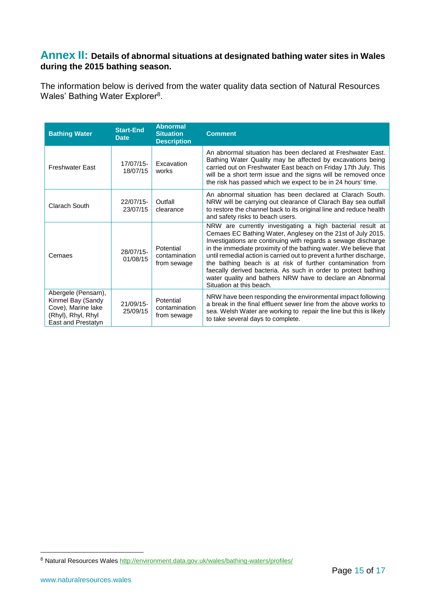## <span id="page-14-0"></span>**Annex II: Details of abnormal situations at designated bathing water sites in Wales during the 2015 bathing season.**

The information below is derived from the water quality data section of Natural Resources Wales' Bathing Water Explorer<sup>8</sup>.

| <b>Bathing Water</b>                                                                                       | <b>Start-End</b><br><b>Date</b> | <b>Abnormal</b><br><b>Situation</b><br><b>Description</b> | <b>Comment</b>                                                                                                                                                                                                                                                                                                                                                                                                                                                                                                                                                  |
|------------------------------------------------------------------------------------------------------------|---------------------------------|-----------------------------------------------------------|-----------------------------------------------------------------------------------------------------------------------------------------------------------------------------------------------------------------------------------------------------------------------------------------------------------------------------------------------------------------------------------------------------------------------------------------------------------------------------------------------------------------------------------------------------------------|
| <b>Freshwater East</b>                                                                                     | 17/07/15-<br>18/07/15           | Excavation<br>works                                       | An abnormal situation has been declared at Freshwater East.<br>Bathing Water Quality may be affected by excavations being<br>carried out on Freshwater East beach on Friday 17th July. This<br>will be a short term issue and the signs will be removed once<br>the risk has passed which we expect to be in 24 hours' time.                                                                                                                                                                                                                                    |
| Clarach South                                                                                              | 22/07/15-<br>23/07/15           | Outfall<br>clearance                                      | An abnormal situation has been declared at Clarach South.<br>NRW will be carrying out clearance of Clarach Bay sea outfall<br>to restore the channel back to its original line and reduce health<br>and safety risks to beach users.                                                                                                                                                                                                                                                                                                                            |
| Cemaes                                                                                                     | 28/07/15-<br>01/08/15           | Potential<br>contamination<br>from sewage                 | NRW are currently investigating a high bacterial result at<br>Cemaes EC Bathing Water, Anglesey on the 21st of July 2015.<br>Investigations are continuing with regards a sewage discharge<br>in the immediate proximity of the bathing water. We believe that<br>until remedial action is carried out to prevent a further discharge,<br>the bathing beach is at risk of further contamination from<br>faecally derived bacteria. As such in order to protect bathing<br>water quality and bathers NRW have to declare an Abnormal<br>Situation at this beach. |
| Abergele (Pensarn),<br>Kinmel Bay (Sandy<br>Cove), Marine lake<br>(Rhyl), Rhyl, Rhyl<br>East and Prestatyn | 21/09/15-<br>25/09/15           | Potential<br>contamination<br>from sewage                 | NRW have been responding the environmental impact following<br>a break in the final effluent sewer line from the above works to<br>sea. Welsh Water are working to repair the line but this is likely<br>to take several days to complete.                                                                                                                                                                                                                                                                                                                      |

<u>.</u>

<sup>8</sup> Natural Resources Wale[s http://environment.data.gov.uk/wales/bathing-waters/profiles/](http://environment.data.gov.uk/wales/bathing-waters/profiles/)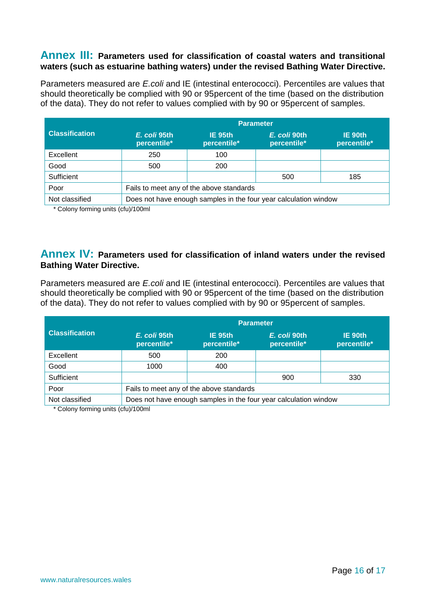## <span id="page-15-0"></span>**Annex III: Parameters used for classification of coastal waters and transitional waters (such as estuarine bathing waters) under the revised Bathing Water Directive.**

Parameters measured are *E.coli* and IE (intestinal enterococci). Percentiles are values that should theoretically be complied with 90 or 95percent of the time (based on the distribution of the data). They do not refer to values complied with by 90 or 95percent of samples.

|                       | <b>Parameter</b>                                                 |                        |                             |                        |  |  |  |  |
|-----------------------|------------------------------------------------------------------|------------------------|-----------------------------|------------------------|--|--|--|--|
| <b>Classification</b> | E. coli 95th<br>percentile*                                      | IE 95th<br>percentile* | E. coli 90th<br>percentile* | IE 90th<br>percentile* |  |  |  |  |
| Excellent             | 250                                                              | 100                    |                             |                        |  |  |  |  |
| Good                  | 500                                                              | 200                    |                             |                        |  |  |  |  |
| Sufficient            |                                                                  |                        | 500                         | 185                    |  |  |  |  |
| Poor                  | Fails to meet any of the above standards                         |                        |                             |                        |  |  |  |  |
| Not classified        | Does not have enough samples in the four year calculation window |                        |                             |                        |  |  |  |  |

\* Colony forming units (cfu)/100ml

## <span id="page-15-1"></span>**Annex IV: Parameters used for classification of inland waters under the revised Bathing Water Directive.**

Parameters measured are *E.coli* and IE (intestinal enterococci). Percentiles are values that should theoretically be complied with 90 or 95percent of the time (based on the distribution of the data). They do not refer to values complied with by 90 or 95percent of samples.

|                                                                                    | Parameter                   |                                          |                             |                        |  |  |  |  |  |
|------------------------------------------------------------------------------------|-----------------------------|------------------------------------------|-----------------------------|------------------------|--|--|--|--|--|
| <b>Classification</b>                                                              | E. coli 95th<br>percentile* | IE 95th<br>percentile*                   | E. coli 90th<br>percentile* | IE 90th<br>percentile* |  |  |  |  |  |
| Excellent                                                                          | 500                         | 200                                      |                             |                        |  |  |  |  |  |
| Good                                                                               | 1000                        | 400                                      |                             |                        |  |  |  |  |  |
| Sufficient                                                                         |                             |                                          | 900                         | 330                    |  |  |  |  |  |
| Poor                                                                               |                             | Fails to meet any of the above standards |                             |                        |  |  |  |  |  |
| Does not have enough samples in the four year calculation window<br>Not classified |                             |                                          |                             |                        |  |  |  |  |  |

\* Colony forming units (cfu)/100ml